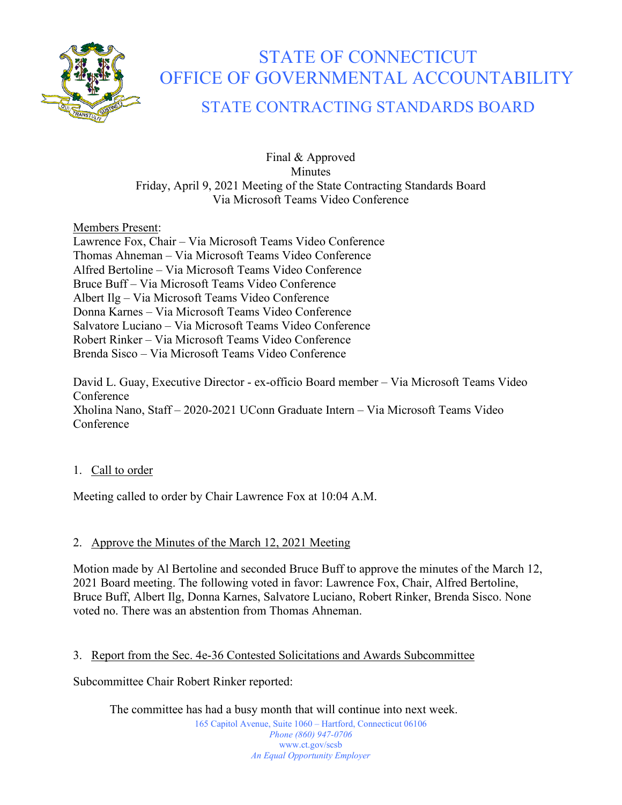

# STATE OF CONNECTICUT OFFICE OF GOVERNMENTAL ACCOUNTABILITY

# STATE CONTRACTING STANDARDS BOARD

Final & Approved Minutes Friday, April 9, 2021 Meeting of the State Contracting Standards Board Via Microsoft Teams Video Conference

Members Present:

Lawrence Fox, Chair – Via Microsoft Teams Video Conference Thomas Ahneman – Via Microsoft Teams Video Conference Alfred Bertoline – Via Microsoft Teams Video Conference Bruce Buff – Via Microsoft Teams Video Conference Albert Ilg – Via Microsoft Teams Video Conference Donna Karnes – Via Microsoft Teams Video Conference Salvatore Luciano – Via Microsoft Teams Video Conference Robert Rinker – Via Microsoft Teams Video Conference Brenda Sisco – Via Microsoft Teams Video Conference

David L. Guay, Executive Director - ex-officio Board member – Via Microsoft Teams Video Conference Xholina Nano, Staff – 2020-2021 UConn Graduate Intern – Via Microsoft Teams Video Conference

# 1. Call to order

Meeting called to order by Chair Lawrence Fox at 10:04 A.M.

# 2. Approve the Minutes of the March 12, 2021 Meeting

Motion made by Al Bertoline and seconded Bruce Buff to approve the minutes of the March 12, 2021 Board meeting. The following voted in favor: Lawrence Fox, Chair, Alfred Bertoline, Bruce Buff, Albert Ilg, Donna Karnes, Salvatore Luciano, Robert Rinker, Brenda Sisco. None voted no. There was an abstention from Thomas Ahneman.

# 3. Report from the Sec. 4e-36 Contested Solicitations and Awards Subcommittee

Subcommittee Chair Robert Rinker reported:

The committee has had a busy month that will continue into next week.

165 Capitol Avenue, Suite 1060 – Hartford, Connecticut 06106 *Phone (860) 947-0706*  www.ct.gov/scsb *An Equal Opportunity Employer*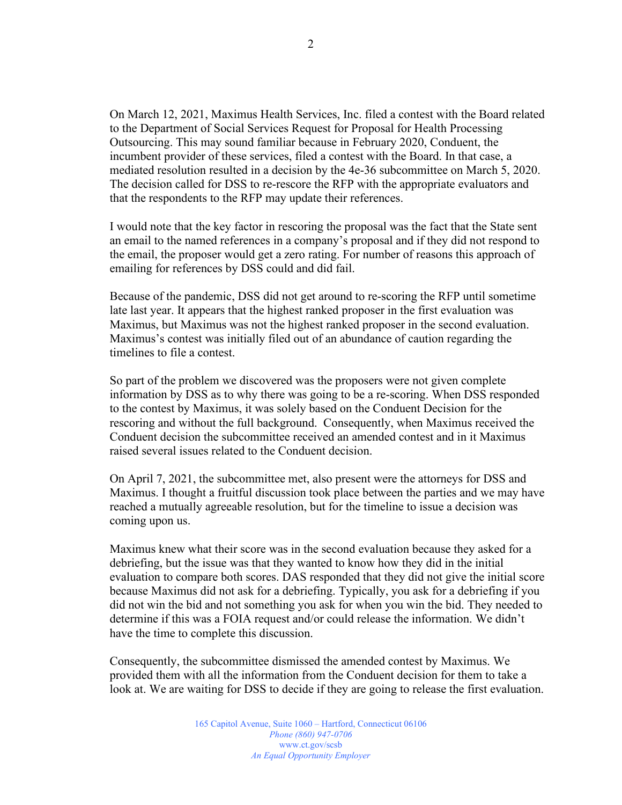On March 12, 2021, Maximus Health Services, Inc. filed a contest with the Board related to the Department of Social Services Request for Proposal for Health Processing Outsourcing. This may sound familiar because in February 2020, Conduent, the incumbent provider of these services, filed a contest with the Board. In that case, a mediated resolution resulted in a decision by the 4e-36 subcommittee on March 5, 2020. The decision called for DSS to re-rescore the RFP with the appropriate evaluators and that the respondents to the RFP may update their references.

I would note that the key factor in rescoring the proposal was the fact that the State sent an email to the named references in a company's proposal and if they did not respond to the email, the proposer would get a zero rating. For number of reasons this approach of emailing for references by DSS could and did fail.

Because of the pandemic, DSS did not get around to re-scoring the RFP until sometime late last year. It appears that the highest ranked proposer in the first evaluation was Maximus, but Maximus was not the highest ranked proposer in the second evaluation. Maximus's contest was initially filed out of an abundance of caution regarding the timelines to file a contest.

So part of the problem we discovered was the proposers were not given complete information by DSS as to why there was going to be a re-scoring. When DSS responded to the contest by Maximus, it was solely based on the Conduent Decision for the rescoring and without the full background. Consequently, when Maximus received the Conduent decision the subcommittee received an amended contest and in it Maximus raised several issues related to the Conduent decision.

On April 7, 2021, the subcommittee met, also present were the attorneys for DSS and Maximus. I thought a fruitful discussion took place between the parties and we may have reached a mutually agreeable resolution, but for the timeline to issue a decision was coming upon us.

Maximus knew what their score was in the second evaluation because they asked for a debriefing, but the issue was that they wanted to know how they did in the initial evaluation to compare both scores. DAS responded that they did not give the initial score because Maximus did not ask for a debriefing. Typically, you ask for a debriefing if you did not win the bid and not something you ask for when you win the bid. They needed to determine if this was a FOIA request and/or could release the information. We didn't have the time to complete this discussion.

Consequently, the subcommittee dismissed the amended contest by Maximus. We provided them with all the information from the Conduent decision for them to take a look at. We are waiting for DSS to decide if they are going to release the first evaluation.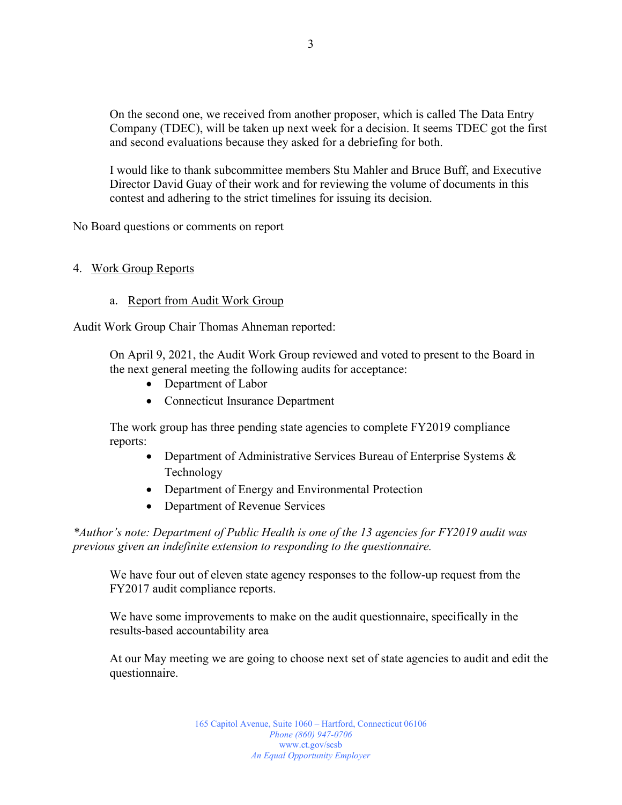On the second one, we received from another proposer, which is called The Data Entry Company (TDEC), will be taken up next week for a decision. It seems TDEC got the first and second evaluations because they asked for a debriefing for both.

I would like to thank subcommittee members Stu Mahler and Bruce Buff, and Executive Director David Guay of their work and for reviewing the volume of documents in this contest and adhering to the strict timelines for issuing its decision.

No Board questions or comments on report

#### 4. Work Group Reports

#### a. Report from Audit Work Group

Audit Work Group Chair Thomas Ahneman reported:

On April 9, 2021, the Audit Work Group reviewed and voted to present to the Board in the next general meeting the following audits for acceptance:

- Department of Labor
- Connecticut Insurance Department

The work group has three pending state agencies to complete FY2019 compliance reports:

- Department of Administrative Services Bureau of Enterprise Systems & Technology
- Department of Energy and Environmental Protection
- Department of Revenue Services

*\*Author's note: Department of Public Health is one of the 13 agencies for FY2019 audit was previous given an indefinite extension to responding to the questionnaire.* 

We have four out of eleven state agency responses to the follow-up request from the FY2017 audit compliance reports.

We have some improvements to make on the audit questionnaire, specifically in the results-based accountability area

At our May meeting we are going to choose next set of state agencies to audit and edit the questionnaire.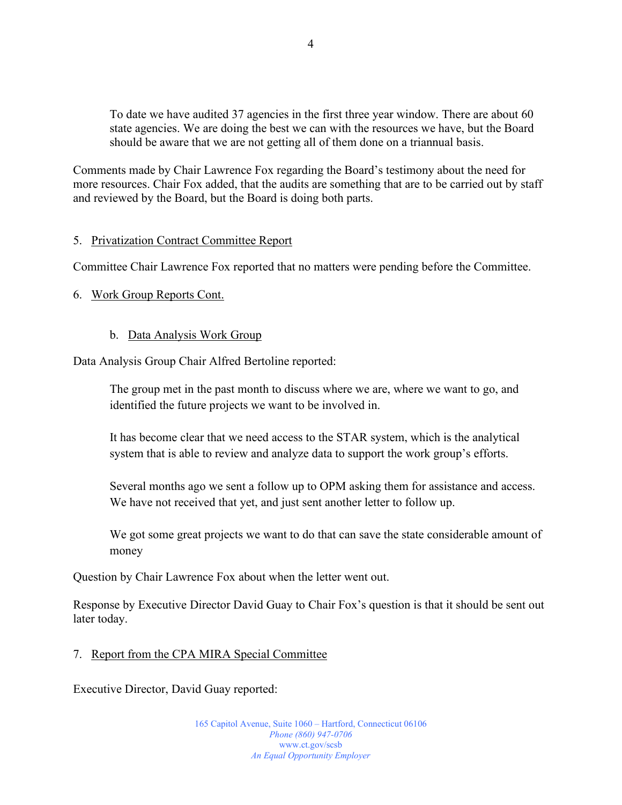To date we have audited 37 agencies in the first three year window. There are about 60 state agencies. We are doing the best we can with the resources we have, but the Board should be aware that we are not getting all of them done on a triannual basis.

Comments made by Chair Lawrence Fox regarding the Board's testimony about the need for more resources. Chair Fox added, that the audits are something that are to be carried out by staff and reviewed by the Board, but the Board is doing both parts.

#### 5. Privatization Contract Committee Report

Committee Chair Lawrence Fox reported that no matters were pending before the Committee.

#### 6. Work Group Reports Cont.

#### b. Data Analysis Work Group

Data Analysis Group Chair Alfred Bertoline reported:

The group met in the past month to discuss where we are, where we want to go, and identified the future projects we want to be involved in.

It has become clear that we need access to the STAR system, which is the analytical system that is able to review and analyze data to support the work group's efforts.

Several months ago we sent a follow up to OPM asking them for assistance and access. We have not received that yet, and just sent another letter to follow up.

We got some great projects we want to do that can save the state considerable amount of money

Question by Chair Lawrence Fox about when the letter went out.

Response by Executive Director David Guay to Chair Fox's question is that it should be sent out later today.

#### 7. Report from the CPA MIRA Special Committee

Executive Director, David Guay reported:

165 Capitol Avenue, Suite 1060 – Hartford, Connecticut 06106 *Phone (860) 947-0706*  www.ct.gov/scsb *An Equal Opportunity Employer*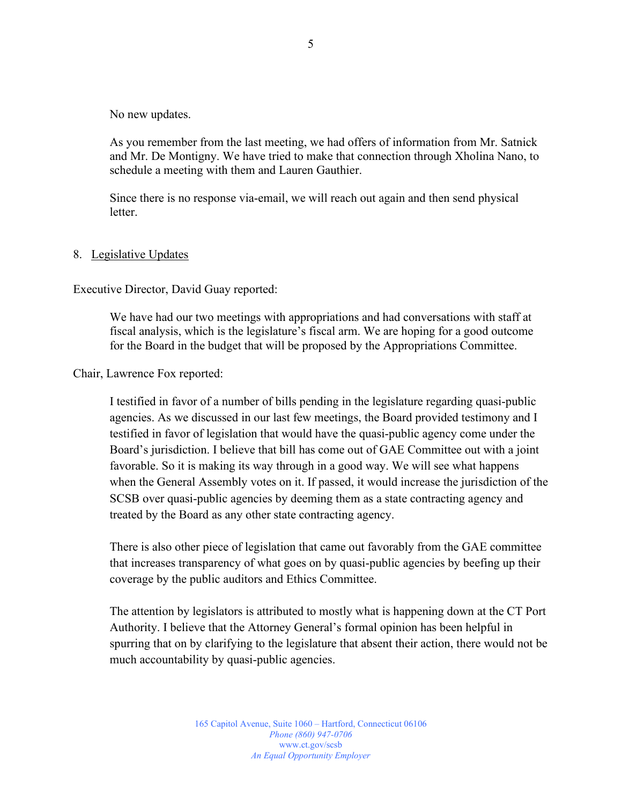No new updates.

As you remember from the last meeting, we had offers of information from Mr. Satnick and Mr. De Montigny. We have tried to make that connection through Xholina Nano, to schedule a meeting with them and Lauren Gauthier.

Since there is no response via-email, we will reach out again and then send physical letter.

#### 8. Legislative Updates

Executive Director, David Guay reported:

We have had our two meetings with appropriations and had conversations with staff at fiscal analysis, which is the legislature's fiscal arm. We are hoping for a good outcome for the Board in the budget that will be proposed by the Appropriations Committee.

Chair, Lawrence Fox reported:

I testified in favor of a number of bills pending in the legislature regarding quasi-public agencies. As we discussed in our last few meetings, the Board provided testimony and I testified in favor of legislation that would have the quasi-public agency come under the Board's jurisdiction. I believe that bill has come out of GAE Committee out with a joint favorable. So it is making its way through in a good way. We will see what happens when the General Assembly votes on it. If passed, it would increase the jurisdiction of the SCSB over quasi-public agencies by deeming them as a state contracting agency and treated by the Board as any other state contracting agency.

There is also other piece of legislation that came out favorably from the GAE committee that increases transparency of what goes on by quasi-public agencies by beefing up their coverage by the public auditors and Ethics Committee.

The attention by legislators is attributed to mostly what is happening down at the CT Port Authority. I believe that the Attorney General's formal opinion has been helpful in spurring that on by clarifying to the legislature that absent their action, there would not be much accountability by quasi-public agencies.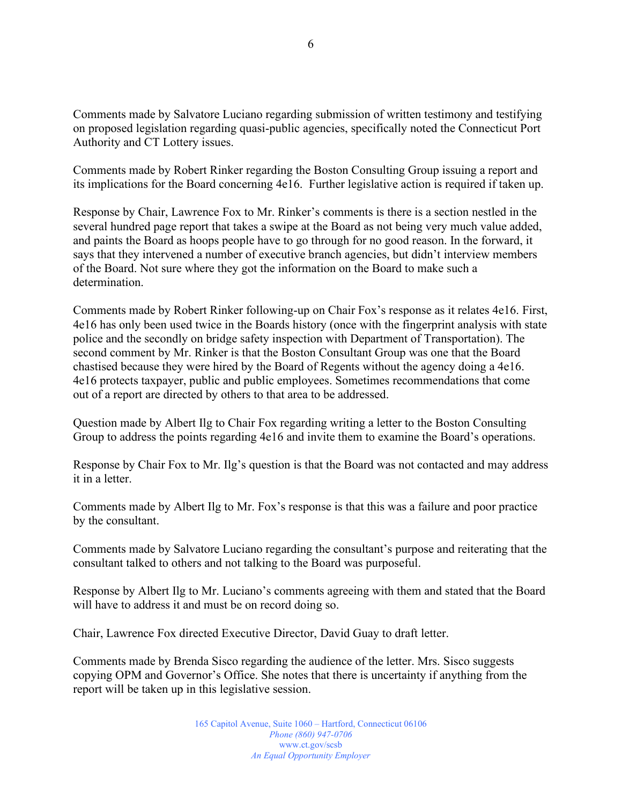Comments made by Salvatore Luciano regarding submission of written testimony and testifying on proposed legislation regarding quasi-public agencies, specifically noted the Connecticut Port Authority and CT Lottery issues.

Comments made by Robert Rinker regarding the Boston Consulting Group issuing a report and its implications for the Board concerning 4e16. Further legislative action is required if taken up.

Response by Chair, Lawrence Fox to Mr. Rinker's comments is there is a section nestled in the several hundred page report that takes a swipe at the Board as not being very much value added, and paints the Board as hoops people have to go through for no good reason. In the forward, it says that they intervened a number of executive branch agencies, but didn't interview members of the Board. Not sure where they got the information on the Board to make such a determination.

Comments made by Robert Rinker following-up on Chair Fox's response as it relates 4e16. First, 4e16 has only been used twice in the Boards history (once with the fingerprint analysis with state police and the secondly on bridge safety inspection with Department of Transportation). The second comment by Mr. Rinker is that the Boston Consultant Group was one that the Board chastised because they were hired by the Board of Regents without the agency doing a 4e16. 4e16 protects taxpayer, public and public employees. Sometimes recommendations that come out of a report are directed by others to that area to be addressed.

Question made by Albert Ilg to Chair Fox regarding writing a letter to the Boston Consulting Group to address the points regarding 4e16 and invite them to examine the Board's operations.

Response by Chair Fox to Mr. Ilg's question is that the Board was not contacted and may address it in a letter.

Comments made by Albert Ilg to Mr. Fox's response is that this was a failure and poor practice by the consultant.

Comments made by Salvatore Luciano regarding the consultant's purpose and reiterating that the consultant talked to others and not talking to the Board was purposeful.

Response by Albert Ilg to Mr. Luciano's comments agreeing with them and stated that the Board will have to address it and must be on record doing so.

Chair, Lawrence Fox directed Executive Director, David Guay to draft letter.

Comments made by Brenda Sisco regarding the audience of the letter. Mrs. Sisco suggests copying OPM and Governor's Office. She notes that there is uncertainty if anything from the report will be taken up in this legislative session.